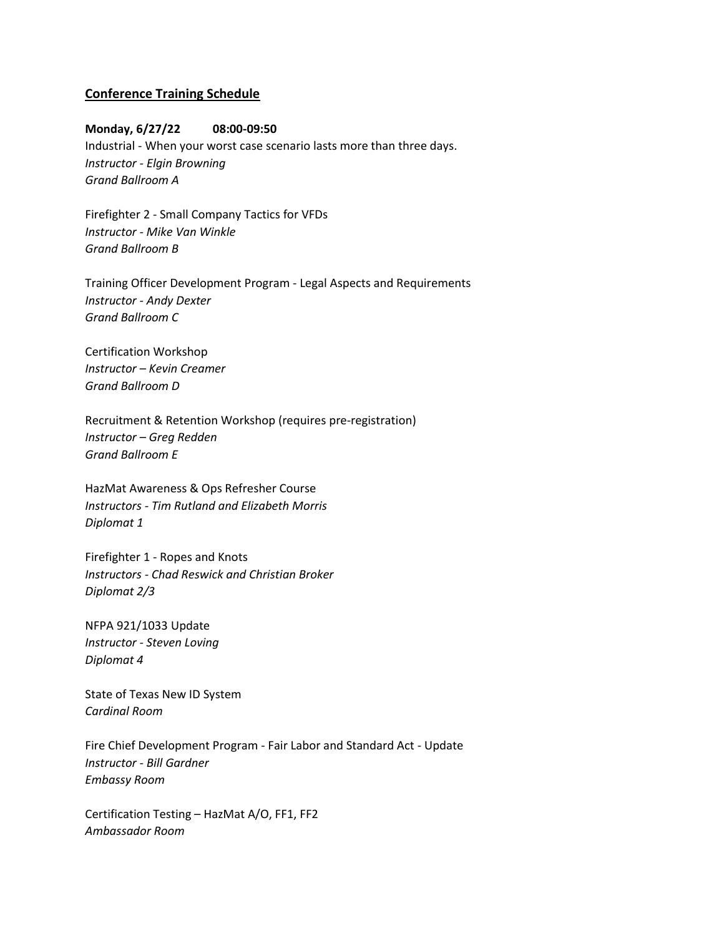# **Conference Training Schedule**

## **Monday, 6/27/22 08:00-09:50**

Industrial - When your worst case scenario lasts more than three days. *Instructor - Elgin Browning Grand Ballroom A*

Firefighter 2 - Small Company Tactics for VFDs *Instructor - Mike Van Winkle Grand Ballroom B*

Training Officer Development Program - Legal Aspects and Requirements *Instructor - Andy Dexter Grand Ballroom C*

Certification Workshop *Instructor – Kevin Creamer Grand Ballroom D*

Recruitment & Retention Workshop (requires pre-registration) *Instructor – Greg Redden Grand Ballroom E*

HazMat Awareness & Ops Refresher Course *Instructors - Tim Rutland and Elizabeth Morris Diplomat 1*

Firefighter 1 - Ropes and Knots *Instructors - Chad Reswick and Christian Broker Diplomat 2/3*

NFPA 921/1033 Update *Instructor - Steven Loving Diplomat 4*

State of Texas New ID System *Cardinal Room*

Fire Chief Development Program - Fair Labor and Standard Act - Update *Instructor - Bill Gardner Embassy Room*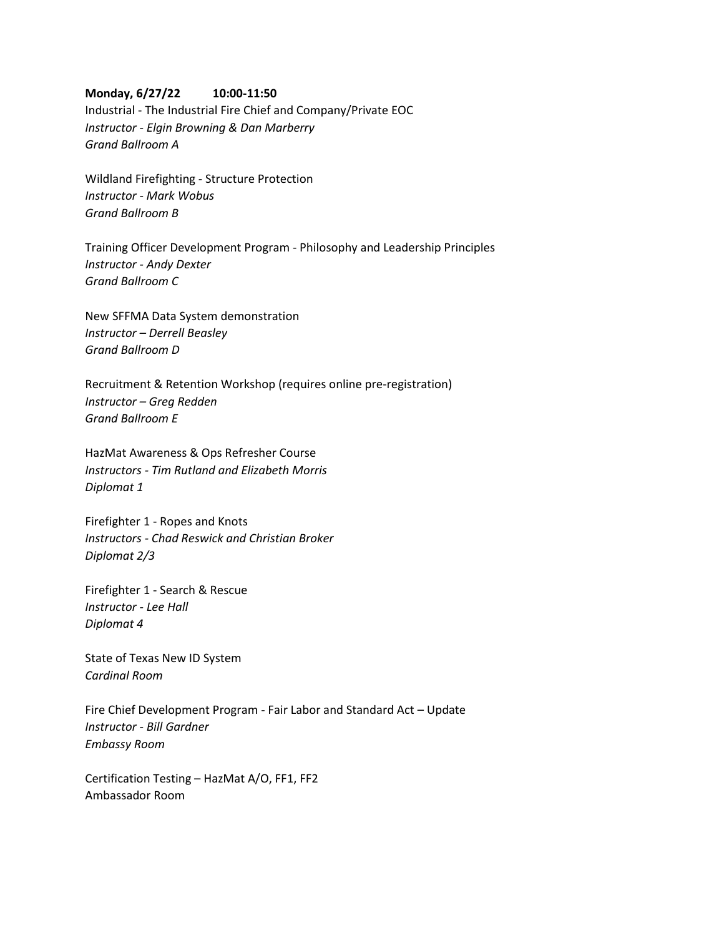### **Monday, 6/27/22 10:00-11:50**

Industrial - The Industrial Fire Chief and Company/Private EOC *Instructor - Elgin Browning & Dan Marberry Grand Ballroom A*

Wildland Firefighting - Structure Protection *Instructor - Mark Wobus Grand Ballroom B*

Training Officer Development Program - Philosophy and Leadership Principles *Instructor - Andy Dexter Grand Ballroom C*

New SFFMA Data System demonstration *Instructor – Derrell Beasley Grand Ballroom D*

Recruitment & Retention Workshop (requires online pre-registration) *Instructor – Greg Redden Grand Ballroom E*

HazMat Awareness & Ops Refresher Course *Instructors - Tim Rutland and Elizabeth Morris Diplomat 1*

Firefighter 1 - Ropes and Knots *Instructors - Chad Reswick and Christian Broker Diplomat 2/3*

Firefighter 1 - Search & Rescue *Instructor - Lee Hall Diplomat 4*

State of Texas New ID System *Cardinal Room*

Fire Chief Development Program - Fair Labor and Standard Act – Update *Instructor - Bill Gardner Embassy Room*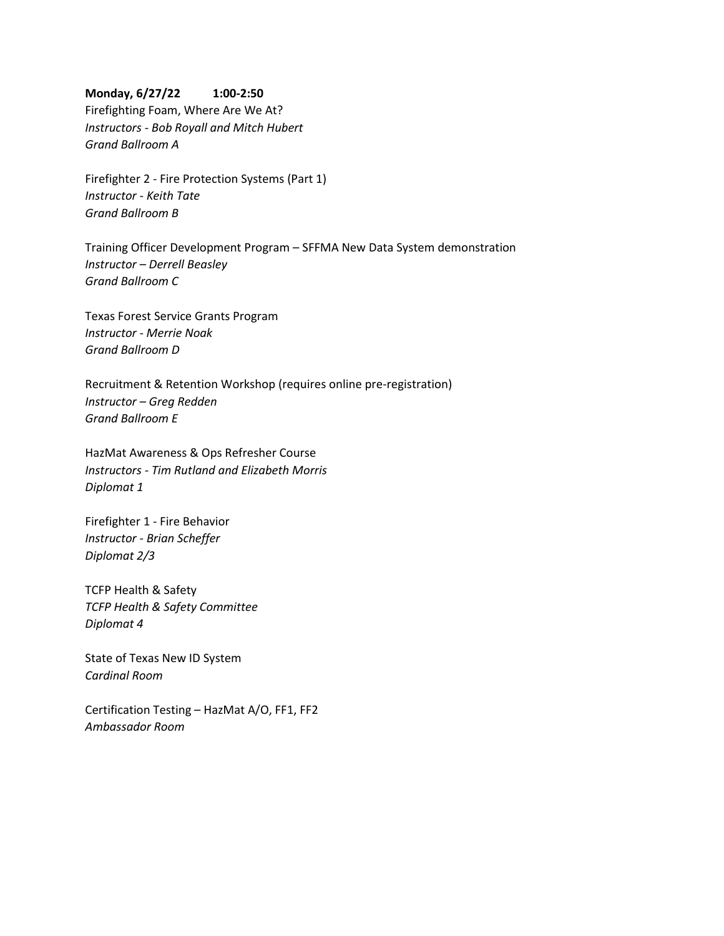### **Monday, 6/27/22 1:00-2:50**

Firefighting Foam, Where Are We At? *Instructors - Bob Royall and Mitch Hubert Grand Ballroom A*

Firefighter 2 - Fire Protection Systems (Part 1) *Instructor - Keith Tate Grand Ballroom B*

Training Officer Development Program – SFFMA New Data System demonstration *Instructor – Derrell Beasley Grand Ballroom C*

Texas Forest Service Grants Program *Instructor - Merrie Noak Grand Ballroom D*

Recruitment & Retention Workshop (requires online pre-registration) *Instructor – Greg Redden Grand Ballroom E*

HazMat Awareness & Ops Refresher Course *Instructors - Tim Rutland and Elizabeth Morris Diplomat 1*

Firefighter 1 - Fire Behavior *Instructor - Brian Scheffer Diplomat 2/3*

TCFP Health & Safety *TCFP Health & Safety Committee Diplomat 4*

State of Texas New ID System *Cardinal Room*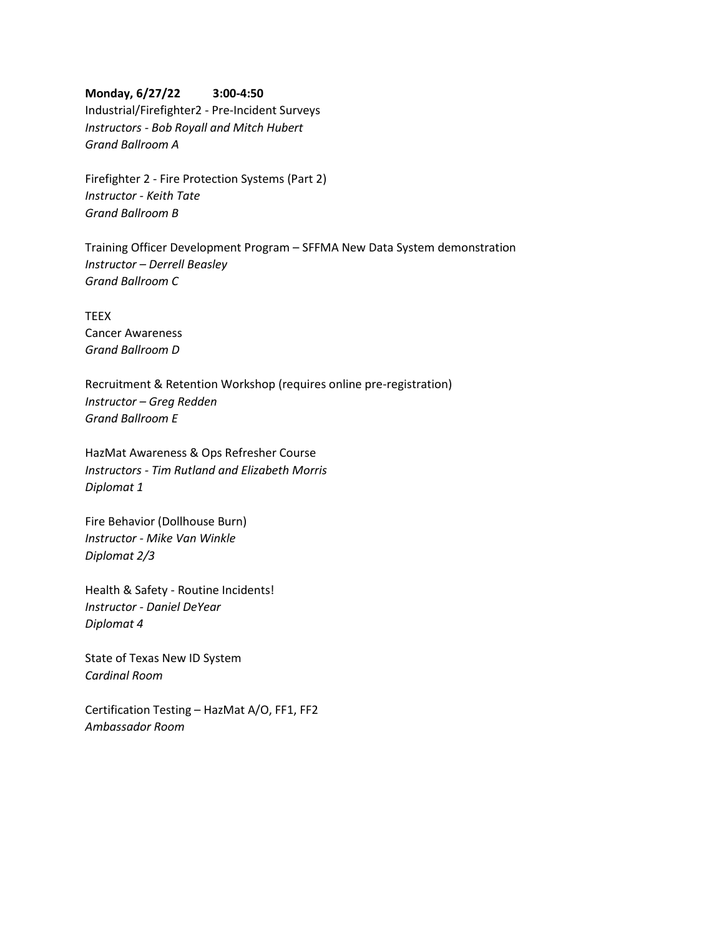### **Monday, 6/27/22 3:00-4:50**

Industrial/Firefighter2 - Pre-Incident Surveys *Instructors - Bob Royall and Mitch Hubert Grand Ballroom A*

Firefighter 2 - Fire Protection Systems (Part 2) *Instructor - Keith Tate Grand Ballroom B*

Training Officer Development Program – SFFMA New Data System demonstration *Instructor – Derrell Beasley Grand Ballroom C*

**TEEX** Cancer Awareness *Grand Ballroom D*

Recruitment & Retention Workshop (requires online pre-registration) *Instructor – Greg Redden Grand Ballroom E*

HazMat Awareness & Ops Refresher Course *Instructors - Tim Rutland and Elizabeth Morris Diplomat 1*

Fire Behavior (Dollhouse Burn) *Instructor - Mike Van Winkle Diplomat 2/3*

Health & Safety - Routine Incidents! *Instructor - Daniel DeYear Diplomat 4*

State of Texas New ID System *Cardinal Room*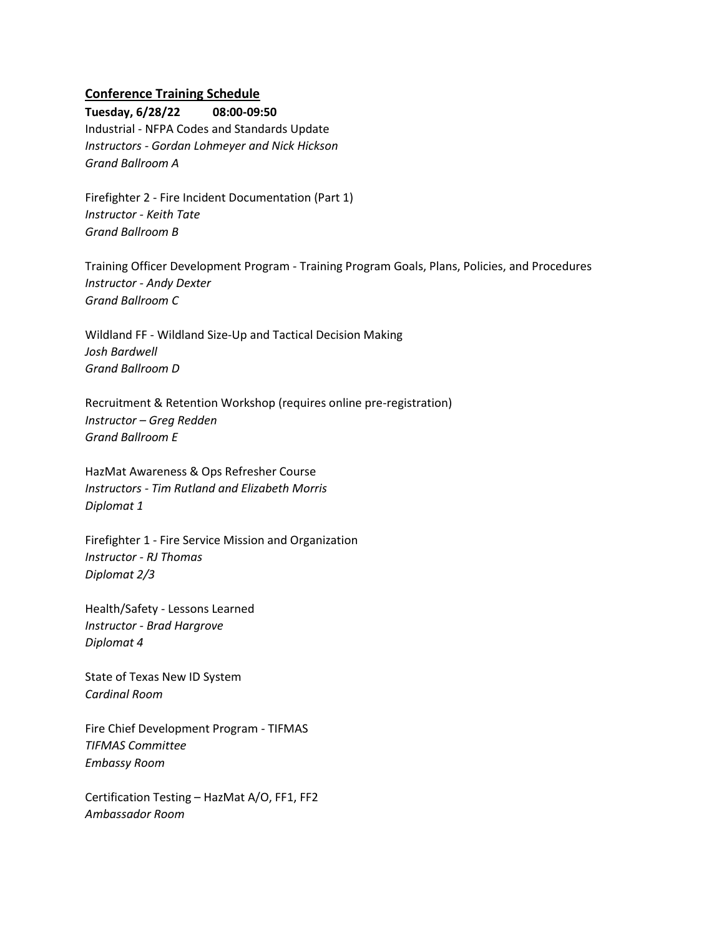# **Conference Training Schedule**

**Tuesday, 6/28/22 08:00-09:50** Industrial - NFPA Codes and Standards Update *Instructors - Gordan Lohmeyer and Nick Hickson Grand Ballroom A*

Firefighter 2 - Fire Incident Documentation (Part 1) *Instructor - Keith Tate Grand Ballroom B*

Training Officer Development Program - Training Program Goals, Plans, Policies, and Procedures *Instructor - Andy Dexter Grand Ballroom C*

Wildland FF - Wildland Size-Up and Tactical Decision Making *Josh Bardwell Grand Ballroom D*

Recruitment & Retention Workshop (requires online pre-registration) *Instructor – Greg Redden Grand Ballroom E*

HazMat Awareness & Ops Refresher Course *Instructors - Tim Rutland and Elizabeth Morris Diplomat 1*

Firefighter 1 - Fire Service Mission and Organization *Instructor - RJ Thomas Diplomat 2/3*

Health/Safety - Lessons Learned *Instructor - Brad Hargrove Diplomat 4*

State of Texas New ID System *Cardinal Room*

Fire Chief Development Program - TIFMAS *TIFMAS Committee Embassy Room*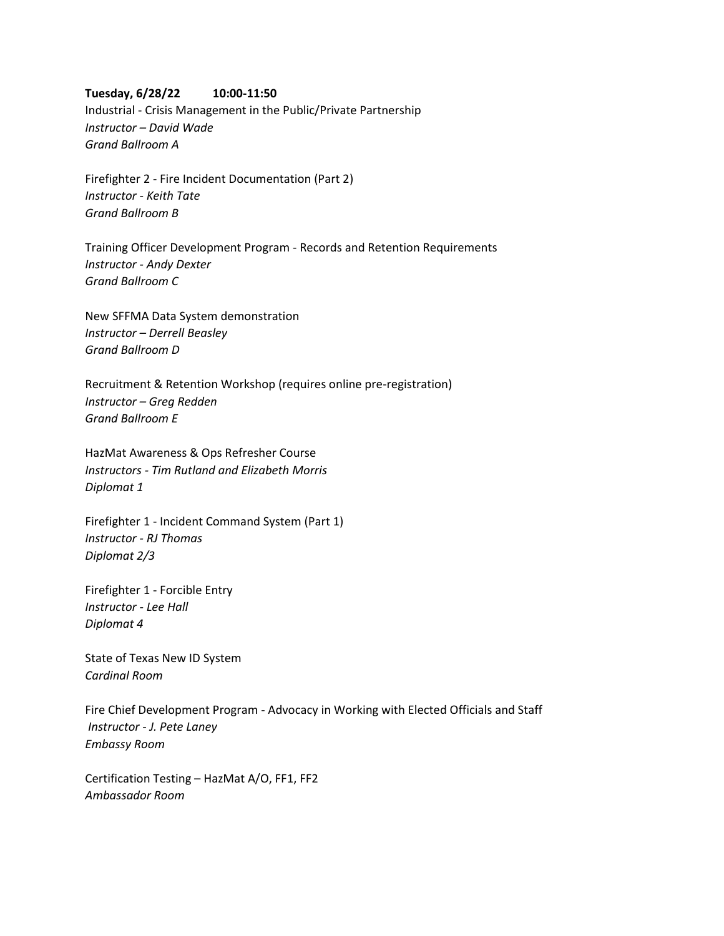#### **Tuesday, 6/28/22 10:00-11:50**

Industrial - Crisis Management in the Public/Private Partnership *Instructor – David Wade Grand Ballroom A*

Firefighter 2 - Fire Incident Documentation (Part 2) *Instructor - Keith Tate Grand Ballroom B*

Training Officer Development Program - Records and Retention Requirements *Instructor - Andy Dexter Grand Ballroom C*

New SFFMA Data System demonstration *Instructor – Derrell Beasley Grand Ballroom D*

Recruitment & Retention Workshop (requires online pre-registration) *Instructor – Greg Redden Grand Ballroom E*

HazMat Awareness & Ops Refresher Course *Instructors - Tim Rutland and Elizabeth Morris Diplomat 1*

Firefighter 1 - Incident Command System (Part 1) *Instructor - RJ Thomas Diplomat 2/3*

Firefighter 1 - Forcible Entry *Instructor - Lee Hall Diplomat 4*

State of Texas New ID System *Cardinal Room*

Fire Chief Development Program - Advocacy in Working with Elected Officials and Staff *Instructor - J. Pete Laney Embassy Room*